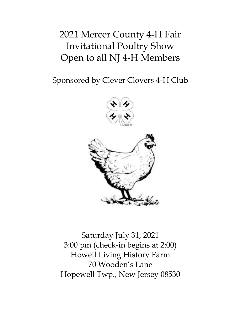# 2021 Mercer County 4-H Fair Invitational Poultry Show Open to all NJ 4-H Members

Sponsored by Clever Clovers 4-H Club





Saturday July 31, 2021 3:00 pm (check-in begins at 2:00) Howell Living History Farm 70 Wooden's Lane Hopewell Twp., New Jersey 08530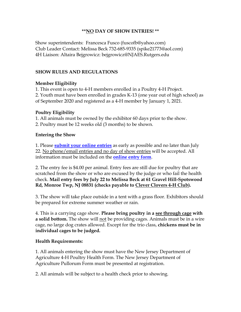### **\*\*NO DAY OF SHOW ENTRIES! \*\***

Show superintendents: Francesca Fusco (fuscofb@yahoo.com) Club Leader Contact: Melissa Beck 732-685-9335 (spike21773@aol.com) 4H Liaison: Altaira Bejgrowicz: bejgrowicz@NJAES.Rutgers.edu

#### **SHOW RULES AND REGULATIONS**

#### **Member Eligibility**

1. This event is open to 4-H members enrolled in a Poultry 4-H Project. 2. Youth must have been enrolled in grades K-13 (one year out of high school) as of September 2020 and registered as a 4-H member by January 1, 2021.

#### **Poultry Eligibility**

1. All animals must be owned by the exhibitor 60 days prior to the show.

2. Poultry must be 12 weeks old (3 months) to be shown.

#### **Entering the Show**

1. Please **submit [your online entries](https://rutgers.ca1.qualtrics.com/jfe/form/SV_cuLnEPd1JFNZkwK)** as early as possible and no later than July 22. No phone/email entries and no day of show entries will be accepted. All information must be included on the **online [entry form](https://rutgers.ca1.qualtrics.com/jfe/form/SV_cuLnEPd1JFNZkwK)**.

2. The entry fee is \$4.00 per animal. Entry fees are still due for poultry that are scratched from the show or who are excused by the judge or who fail the health check. **Mail entry fees by July 22 to Melissa Beck at 61 Gravel Hill-Spotswood Rd, Monroe Twp, NJ 08831 (checks payable to Clever Clovers 4-H Club).**

3. The show will take place outside in a tent with a grass floor. Exhibitors should be prepared for extreme summer weather or rain.

4. This is a carrying cage show. **Please bring poultry in a see through cage with a solid bottom.** The show will not be providing cages. Animals must be in a wire cage, no large dog crates allowed. Except for the trio class, **chickens must be in individual cages to be judged.**

#### **Health Requirements:**

1. All animals entering the show must have the New Jersey Department of Agriculture 4-H Poultry Health Form. The New Jersey Department of Agriculture Pullorum Form must be presented at registration.

2. All animals will be subject to a health check prior to showing.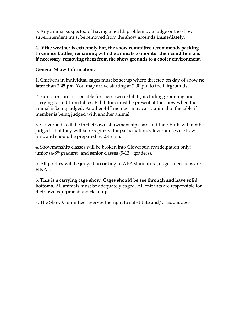3. Any animal suspected of having a health problem by a judge or the show superintendent must be removed from the show grounds **immediately.**

**4. If the weather is extremely hot, the show committee recommends packing frozen ice bottles, remaining with the animals to monitor their condition and if necessary, removing them from the show grounds to a cooler environment.**

## **General Show Information:**

1. Chickens in individual cages must be set up where directed on day of show **no later than 2:45 pm**. You may arrive starting at 2:00 pm to the fairgrounds.

2. Exhibitors are responsible for their own exhibits, including grooming and carrying to and from tables. Exhibitors must be present at the show when the animal is being judged. Another 4-H member may carry animal to the table if member is being judged with another animal.

3. Cloverbuds will be in their own showmanship class and their birds will not be judged – but they will be recognized for participation. Cloverbuds will show first, and should be prepared by 2:45 pm.

4. Showmanship classes will be broken into Cloverbud (participation only), junior (4-8<sup>th</sup> graders), and senior classes (9-13<sup>th</sup> graders).

5. All poultry will be judged according to APA standards. Judge's decisions are FINAL.

6. **This is a carrying cage show. Cages should be see through and have solid bottoms.** All animals must be adequately caged. All entrants are responsible for their own equipment and clean up.

7. The Show Committee reserves the right to substitute and/or add judges.